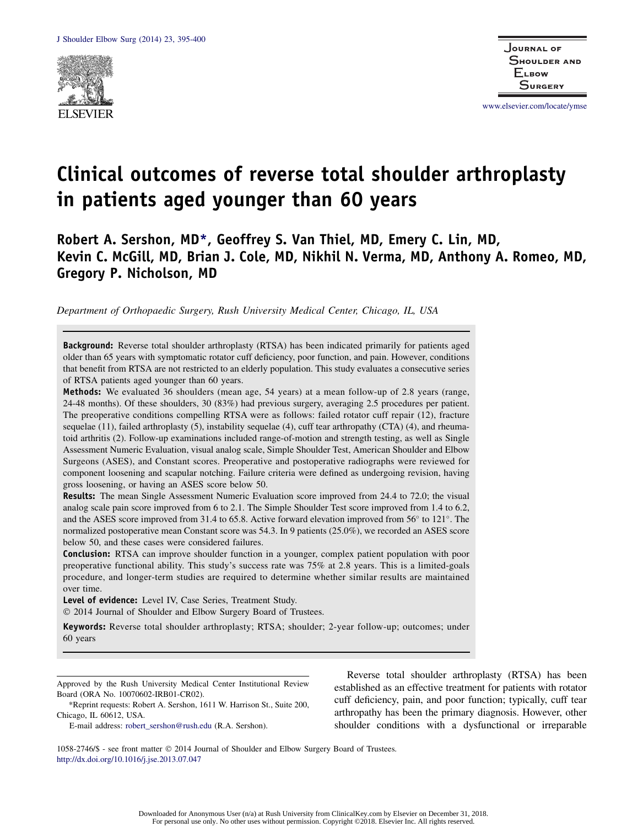

www.elsevier.com/locate/ymse

# Clinical outcomes of reverse total shoulder arthroplasty in patients aged younger than 60 years

Robert A. Sershon, MD\*, Geoffrey S. Van Thiel, MD, Emery C. Lin, MD, Kevin C. McGill, MD, Brian J. Cole, MD, Nikhil N. Verma, MD, Anthony A. Romeo, MD, Gregory P. Nicholson, MD

Department of Orthopaedic Surgery, Rush University Medical Center, Chicago, IL, USA

**Background:** Reverse total shoulder arthroplasty (RTSA) has been indicated primarily for patients aged older than 65 years with symptomatic rotator cuff deficiency, poor function, and pain. However, conditions that benefit from RTSA are not restricted to an elderly population. This study evaluates a consecutive series of RTSA patients aged younger than 60 years.

Methods: We evaluated 36 shoulders (mean age, 54 years) at a mean follow-up of 2.8 years (range, 24-48 months). Of these shoulders, 30 (83%) had previous surgery, averaging 2.5 procedures per patient. The preoperative conditions compelling RTSA were as follows: failed rotator cuff repair (12), fracture sequelae (11), failed arthroplasty (5), instability sequelae (4), cuff tear arthropathy (CTA) (4), and rheumatoid arthritis (2). Follow-up examinations included range-of-motion and strength testing, as well as Single Assessment Numeric Evaluation, visual analog scale, Simple Shoulder Test, American Shoulder and Elbow Surgeons (ASES), and Constant scores. Preoperative and postoperative radiographs were reviewed for component loosening and scapular notching. Failure criteria were defined as undergoing revision, having gross loosening, or having an ASES score below 50.

Results: The mean Single Assessment Numeric Evaluation score improved from 24.4 to 72.0; the visual analog scale pain score improved from 6 to 2.1. The Simple Shoulder Test score improved from 1.4 to 6.2, and the ASES score improved from 31.4 to 65.8. Active forward elevation improved from  $56^{\circ}$  to  $121^{\circ}$ . The normalized postoperative mean Constant score was 54.3. In 9 patients (25.0%), we recorded an ASES score below 50, and these cases were considered failures.

Conclusion: RTSA can improve shoulder function in a younger, complex patient population with poor preoperative functional ability. This study's success rate was 75% at 2.8 years. This is a limited-goals procedure, and longer-term studies are required to determine whether similar results are maintained over time.

Level of evidence: Level IV, Case Series, Treatment Study.

2014 Journal of Shoulder and Elbow Surgery Board of Trustees.

Keywords: Reverse total shoulder arthroplasty; RTSA; shoulder; 2-year follow-up; outcomes; under 60 years

Approved by the Rush University Medical Center Institutional Review Board (ORA No. 10070602-IRB01-CR02).

\*Reprint requests: Robert A. Sershon, 1611 W. Harrison St., Suite 200, Chicago, IL 60612, USA.

E-mail address: robert\_sershon@rush.edu (R.A. Sershon).

Reverse total shoulder arthroplasty (RTSA) has been established as an effective treatment for patients with rotator cuff deficiency, pain, and poor function; typically, cuff tear arthropathy has been the primary diagnosis. However, other shoulder conditions with a dysfunctional or irreparable

1058-2746/\$ - see front matter 2014 Journal of Shoulder and Elbow Surgery Board of Trustees. http://dx.doi.org/10.1016/j.jse.2013.07.047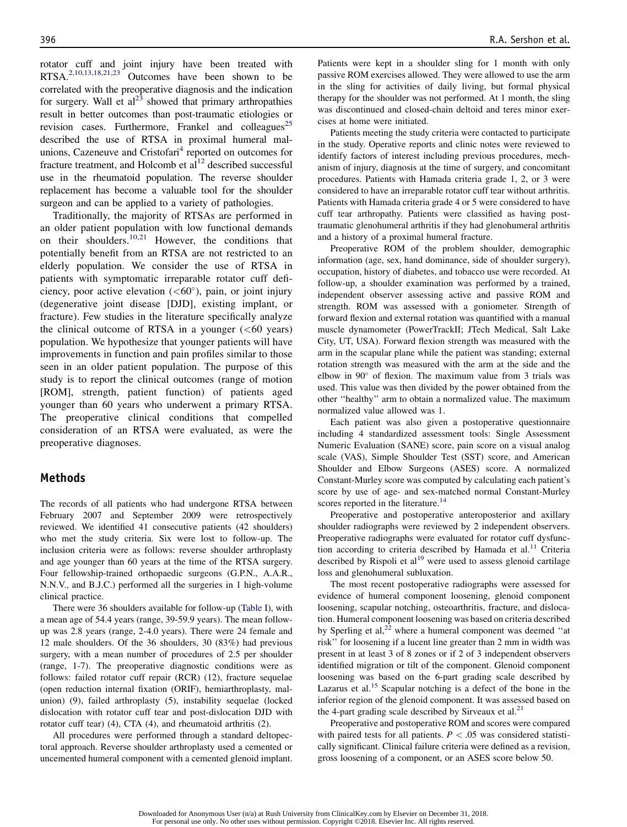rotator cuff and joint injury have been treated with RTSA.2,10,13,18,21,23 Outcomes have been shown to be correlated with the preoperative diagnosis and the indication for surgery. Wall et  $al^{23}$  showed that primary arthropathies result in better outcomes than post-traumatic etiologies or revision cases. Furthermore, Frankel and colleagues<sup>25</sup> described the use of RTSA in proximal humeral malunions, Cazeneuve and Cristofari<sup>4</sup> reported on outcomes for fracture treatment, and Holcomb et  $al<sup>12</sup>$  described successful use in the rheumatoid population. The reverse shoulder replacement has become a valuable tool for the shoulder surgeon and can be applied to a variety of pathologies.

Traditionally, the majority of RTSAs are performed in an older patient population with low functional demands on their shoulders.<sup>10,21</sup> However, the conditions that potentially benefit from an RTSA are not restricted to an elderly population. We consider the use of RTSA in patients with symptomatic irreparable rotator cuff deficiency, poor active elevation  $(<60^{\circ}$ ), pain, or joint injury (degenerative joint disease [DJD], existing implant, or fracture). Few studies in the literature specifically analyze the clinical outcome of RTSA in a younger  $( $60$  years)$ population. We hypothesize that younger patients will have improvements in function and pain profiles similar to those seen in an older patient population. The purpose of this study is to report the clinical outcomes (range of motion [ROM], strength, patient function) of patients aged younger than 60 years who underwent a primary RTSA. The preoperative clinical conditions that compelled consideration of an RTSA were evaluated, as were the preoperative diagnoses.

#### Methods

The records of all patients who had undergone RTSA between February 2007 and September 2009 were retrospectively reviewed. We identified 41 consecutive patients (42 shoulders) who met the study criteria. Six were lost to follow-up. The inclusion criteria were as follows: reverse shoulder arthroplasty and age younger than 60 years at the time of the RTSA surgery. Four fellowship-trained orthopaedic surgeons (G.P.N., A.A.R., N.N.V., and B.J.C.) performed all the surgeries in 1 high-volume clinical practice.

There were 36 shoulders available for follow-up (Table I), with a mean age of 54.4 years (range, 39-59.9 years). The mean followup was 2.8 years (range, 2-4.0 years). There were 24 female and 12 male shoulders. Of the 36 shoulders, 30 (83%) had previous surgery, with a mean number of procedures of 2.5 per shoulder (range, 1-7). The preoperative diagnostic conditions were as follows: failed rotator cuff repair (RCR) (12), fracture sequelae (open reduction internal fixation (ORIF), hemiarthroplasty, malunion) (9), failed arthroplasty (5), instability sequelae (locked dislocation with rotator cuff tear and post-dislocation DJD with rotator cuff tear) (4), CTA (4), and rheumatoid arthritis (2).

All procedures were performed through a standard deltopectoral approach. Reverse shoulder arthroplasty used a cemented or uncemented humeral component with a cemented glenoid implant. Patients were kept in a shoulder sling for 1 month with only passive ROM exercises allowed. They were allowed to use the arm in the sling for activities of daily living, but formal physical therapy for the shoulder was not performed. At 1 month, the sling was discontinued and closed-chain deltoid and teres minor exercises at home were initiated.

Patients meeting the study criteria were contacted to participate in the study. Operative reports and clinic notes were reviewed to identify factors of interest including previous procedures, mechanism of injury, diagnosis at the time of surgery, and concomitant procedures. Patients with Hamada criteria grade 1, 2, or 3 were considered to have an irreparable rotator cuff tear without arthritis. Patients with Hamada criteria grade 4 or 5 were considered to have cuff tear arthropathy. Patients were classified as having posttraumatic glenohumeral arthritis if they had glenohumeral arthritis and a history of a proximal humeral fracture.

Preoperative ROM of the problem shoulder, demographic information (age, sex, hand dominance, side of shoulder surgery), occupation, history of diabetes, and tobacco use were recorded. At follow-up, a shoulder examination was performed by a trained, independent observer assessing active and passive ROM and strength. ROM was assessed with a goniometer. Strength of forward flexion and external rotation was quantified with a manual muscle dynamometer (PowerTrackII; JTech Medical, Salt Lake City, UT, USA). Forward flexion strength was measured with the arm in the scapular plane while the patient was standing; external rotation strength was measured with the arm at the side and the elbow in  $90^{\circ}$  of flexion. The maximum value from 3 trials was used. This value was then divided by the power obtained from the other ''healthy'' arm to obtain a normalized value. The maximum normalized value allowed was 1.

Each patient was also given a postoperative questionnaire including 4 standardized assessment tools: Single Assessment Numeric Evaluation (SANE) score, pain score on a visual analog scale (VAS), Simple Shoulder Test (SST) score, and American Shoulder and Elbow Surgeons (ASES) score. A normalized Constant-Murley score was computed by calculating each patient's score by use of age- and sex-matched normal Constant-Murley scores reported in the literature.<sup>14</sup>

Preoperative and postoperative anteroposterior and axillary shoulder radiographs were reviewed by 2 independent observers. Preoperative radiographs were evaluated for rotator cuff dysfunction according to criteria described by Hamada et al.<sup>11</sup> Criteria described by Rispoli et al<sup>19</sup> were used to assess glenoid cartilage loss and glenohumeral subluxation.

The most recent postoperative radiographs were assessed for evidence of humeral component loosening, glenoid component loosening, scapular notching, osteoarthritis, fracture, and dislocation. Humeral component loosening was based on criteria described by Sperling et al, $^{22}$  where a humeral component was deemed "at risk'' for loosening if a lucent line greater than 2 mm in width was present in at least 3 of 8 zones or if 2 of 3 independent observers identified migration or tilt of the component. Glenoid component loosening was based on the 6-part grading scale described by Lazarus et al.<sup>15</sup> Scapular notching is a defect of the bone in the inferior region of the glenoid component. It was assessed based on the 4-part grading scale described by Sirveaux et al.<sup>21</sup>

Preoperative and postoperative ROM and scores were compared with paired tests for all patients.  $P < .05$  was considered statistically significant. Clinical failure criteria were defined as a revision, gross loosening of a component, or an ASES score below 50.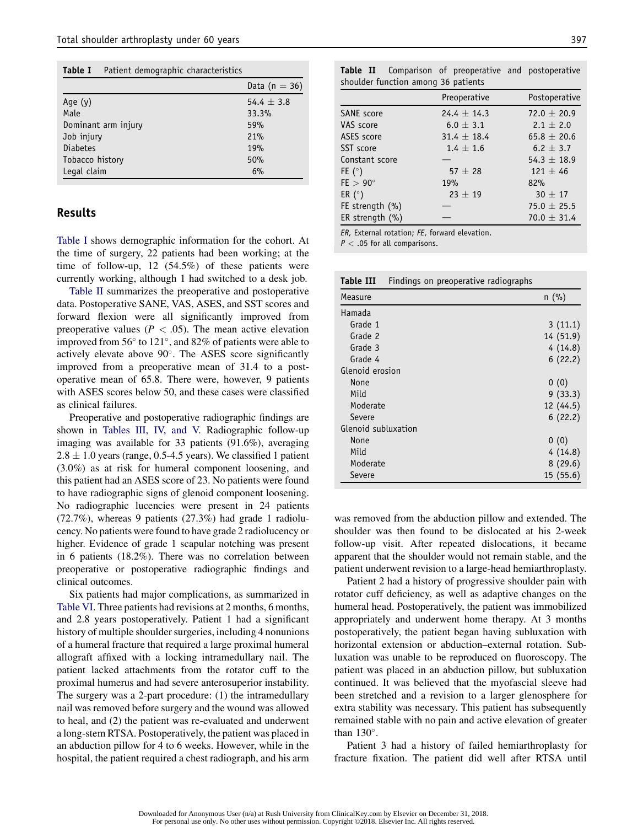Table I Patient demographic characteristics

|                     | Data (n $=$ 36) |
|---------------------|-----------------|
| Age $(y)$           | 54.4 $\pm$ 3.8  |
| Male                | 33.3%           |
| Dominant arm injury | 59%             |
| Job injury          | 21%             |
| <b>Diabetes</b>     | 19%             |
| Tobacco history     | 50%             |
| Legal claim         | 6%              |

## Results

Table I shows demographic information for the cohort. At the time of surgery, 22 patients had been working; at the time of follow-up, 12 (54.5%) of these patients were currently working, although 1 had switched to a desk job.

Table II summarizes the preoperative and postoperative data. Postoperative SANE, VAS, ASES, and SST scores and forward flexion were all significantly improved from preoperative values ( $P < .05$ ). The mean active elevation improved from  $56^{\circ}$  to  $121^{\circ}$ , and  $82\%$  of patients were able to actively elevate above 90°. The ASES score significantly improved from a preoperative mean of 31.4 to a postoperative mean of 65.8. There were, however, 9 patients with ASES scores below 50, and these cases were classified as clinical failures.

Preoperative and postoperative radiographic findings are shown in Tables III, IV, and V. Radiographic follow-up imaging was available for 33 patients (91.6%), averaging  $2.8 \pm 1.0$  years (range, 0.5-4.5 years). We classified 1 patient (3.0%) as at risk for humeral component loosening, and this patient had an ASES score of 23. No patients were found to have radiographic signs of glenoid component loosening. No radiographic lucencies were present in 24 patients (72.7%), whereas 9 patients (27.3%) had grade 1 radiolucency. No patients were found to have grade 2 radiolucency or higher. Evidence of grade 1 scapular notching was present in 6 patients (18.2%). There was no correlation between preoperative or postoperative radiographic findings and clinical outcomes.

Six patients had major complications, as summarized in Table VI. Three patients had revisions at 2 months, 6 months, and 2.8 years postoperatively. Patient 1 had a significant history of multiple shoulder surgeries, including 4 nonunions of a humeral fracture that required a large proximal humeral allograft affixed with a locking intramedullary nail. The patient lacked attachments from the rotator cuff to the proximal humerus and had severe anterosuperior instability. The surgery was a 2-part procedure: (1) the intramedullary nail was removed before surgery and the wound was allowed to heal, and (2) the patient was re-evaluated and underwent a long-stem RTSA. Postoperatively, the patient was placed in an abduction pillow for 4 to 6 weeks. However, while in the hospital, the patient required a chest radiograph, and his arm

**Table II** Comparison of preoperative and postoperative shoulder function among 36 patients

|                     | Preoperative    | Postoperative   |
|---------------------|-----------------|-----------------|
| <b>SANE</b> score   | $24.4 \pm 14.3$ | $72.0 \pm 20.9$ |
| VAS score           | $6.0 \pm 3.1$   | $2.1 \pm 2.0$   |
| ASES score          | $31.4 + 18.4$   | $65.8 \pm 20.6$ |
| SST score           | $1.4 \pm 1.6$   | $6.2 \pm 3.7$   |
| Constant score      |                 | 54.3 $\pm$ 18.9 |
| FE $(°)$            | $57 + 28$       | $121 + 46$      |
| $FE > 90^\circ$     | 19%             | 82%             |
| ER $(^\circ)$       | $23 + 19$       | $30 \pm 17$     |
| FE strength $(\% )$ |                 | $75.0 \pm 25.5$ |
| ER strength (%)     |                 | $70.0 \pm 31.4$ |

ER, External rotation; FE, forward elevation.

 $P < .05$  for all comparisons.

| Table III<br>Findings on preoperative radiographs |           |
|---------------------------------------------------|-----------|
| Measure                                           | $n$ (%)   |
| Hamada                                            |           |
| Grade 1                                           | 3(11.1)   |
| Grade 2                                           | 14 (51.9) |
| Grade 3                                           | 4(14.8)   |
| Grade 4                                           | 6(22.2)   |
| Glenoid erosion                                   |           |
| None                                              | 0(0)      |
| Mild                                              | 9(33.3)   |
| Moderate                                          | 12 (44.5) |
| Severe                                            | 6(22.2)   |
| Glenoid subluxation                               |           |
| None                                              | 0(0)      |
| Mild                                              | 4(14.8)   |
| Moderate                                          | 8(29.6)   |
| Severe                                            | 15(55.6)  |

was removed from the abduction pillow and extended. The shoulder was then found to be dislocated at his 2-week follow-up visit. After repeated dislocations, it became apparent that the shoulder would not remain stable, and the patient underwent revision to a large-head hemiarthroplasty.

Patient 2 had a history of progressive shoulder pain with rotator cuff deficiency, as well as adaptive changes on the humeral head. Postoperatively, the patient was immobilized appropriately and underwent home therapy. At 3 months postoperatively, the patient began having subluxation with horizontal extension or abduction–external rotation. Subluxation was unable to be reproduced on fluoroscopy. The patient was placed in an abduction pillow, but subluxation continued. It was believed that the myofascial sleeve had been stretched and a revision to a larger glenosphere for extra stability was necessary. This patient has subsequently remained stable with no pain and active elevation of greater than  $130^\circ$ .

Patient 3 had a history of failed hemiarthroplasty for fracture fixation. The patient did well after RTSA until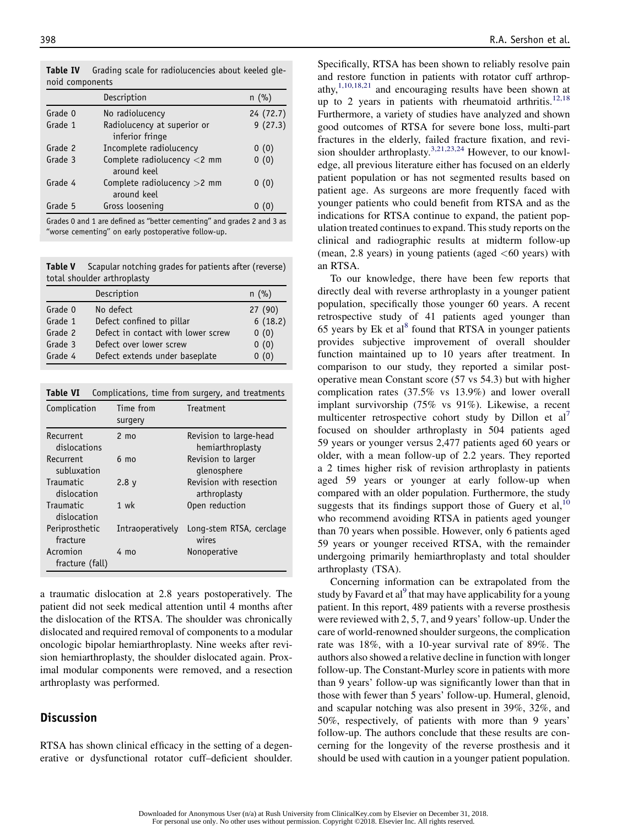Description n (%) Grade 0 No radiolucency 24 (72.7) Grade 1 Radiolucency at superior or inferior fringe 9 (27.3) Grade 2 Incomplete radiolucency 0 (0) Grade 3 Complete radiolucency <2 mm around keel  $0(0)$ Grade 4 Complete radiolucency >2 mm around keel  $0(0)$ Grade 5 Gross loosening 0 (0)

Table IV Grading scale for radiolucencies about keeled glenoid components

Grades 0 and 1 are defined as ''better cementing'' and grades 2 and 3 as ''worse cementing'' on early postoperative follow-up.

Table V Scapular notching grades for patients after (reverse) total shoulder arthroplasty

|         | Description                        | $n$ (%) |
|---------|------------------------------------|---------|
| Grade 0 | No defect                          | 27(90)  |
| Grade 1 | Defect confined to pillar          | 6(18.2) |
| Grade 2 | Defect in contact with lower screw | 0(0)    |
| Grade 3 | Defect over lower screw            | 0(0)    |
| Grade 4 | Defect extends under baseplate     | 0(0)    |

Table VI Complications, time from surgery, and treatments

| Complication                    | Time from<br>surgery | Treatment                                  |
|---------------------------------|----------------------|--------------------------------------------|
| Recurrent<br>dislocations       | $2 \text{ mo}$       | Revision to large-head<br>hemiarthroplasty |
| <b>Recurrent</b><br>subluxation | 6 mo                 | Revision to larger<br>glenosphere          |
| Traumatic<br>dislocation        | 2.8 <sub>V</sub>     | Revision with resection<br>arthroplasty    |
| <b>Traumatic</b><br>dislocation | 1 wk                 | Open reduction                             |
| Periprosthetic<br>fracture      | Intraoperatively     | Long-stem RTSA, cerclage<br>wires          |
| Acromion<br>fracture (fall)     | 4 mo                 | Nonoperative                               |

a traumatic dislocation at 2.8 years postoperatively. The patient did not seek medical attention until 4 months after the dislocation of the RTSA. The shoulder was chronically dislocated and required removal of components to a modular oncologic bipolar hemiarthroplasty. Nine weeks after revision hemiarthroplasty, the shoulder dislocated again. Proximal modular components were removed, and a resection arthroplasty was performed.

#### **Discussion**

RTSA has shown clinical efficacy in the setting of a degenerative or dysfunctional rotator cuff–deficient shoulder. Specifically, RTSA has been shown to reliably resolve pain and restore function in patients with rotator cuff arthropathy, $1,10,18,21$  and encouraging results have been shown at up to 2 years in patients with rheumatoid arthritis.<sup>12,18</sup> Furthermore, a variety of studies have analyzed and shown good outcomes of RTSA for severe bone loss, multi-part fractures in the elderly, failed fracture fixation, and revision shoulder arthroplasty.<sup>3,21,23,24</sup> However, to our knowledge, all previous literature either has focused on an elderly patient population or has not segmented results based on patient age. As surgeons are more frequently faced with younger patients who could benefit from RTSA and as the indications for RTSA continue to expand, the patient population treated continues to expand. This study reports on the clinical and radiographic results at midterm follow-up (mean, 2.8 years) in young patients (aged  $<60$  years) with an RTSA.

To our knowledge, there have been few reports that directly deal with reverse arthroplasty in a younger patient population, specifically those younger 60 years. A recent retrospective study of 41 patients aged younger than 65 years by Ek et al<sup>8</sup> found that RTSA in younger patients provides subjective improvement of overall shoulder function maintained up to 10 years after treatment. In comparison to our study, they reported a similar postoperative mean Constant score (57 vs 54.3) but with higher complication rates (37.5% vs 13.9%) and lower overall implant survivorship (75% vs 91%). Likewise, a recent multicenter retrospective cohort study by Dillon et  $al<sup>7</sup>$ focused on shoulder arthroplasty in 504 patients aged 59 years or younger versus 2,477 patients aged 60 years or older, with a mean follow-up of 2.2 years. They reported a 2 times higher risk of revision arthroplasty in patients aged 59 years or younger at early follow-up when compared with an older population. Furthermore, the study suggests that its findings support those of Guery et al,  $10$ who recommend avoiding RTSA in patients aged younger than 70 years when possible. However, only 6 patients aged 59 years or younger received RTSA, with the remainder undergoing primarily hemiarthroplasty and total shoulder arthroplasty (TSA).

Concerning information can be extrapolated from the study by Favard et al<sup>9</sup> that may have applicability for a young patient. In this report, 489 patients with a reverse prosthesis were reviewed with 2, 5, 7, and 9 years' follow-up. Under the care of world-renowned shoulder surgeons, the complication rate was 18%, with a 10-year survival rate of 89%. The authors also showed a relative decline in function with longer follow-up. The Constant-Murley score in patients with more than 9 years' follow-up was significantly lower than that in those with fewer than 5 years' follow-up. Humeral, glenoid, and scapular notching was also present in 39%, 32%, and 50%, respectively, of patients with more than 9 years' follow-up. The authors conclude that these results are concerning for the longevity of the reverse prosthesis and it should be used with caution in a younger patient population.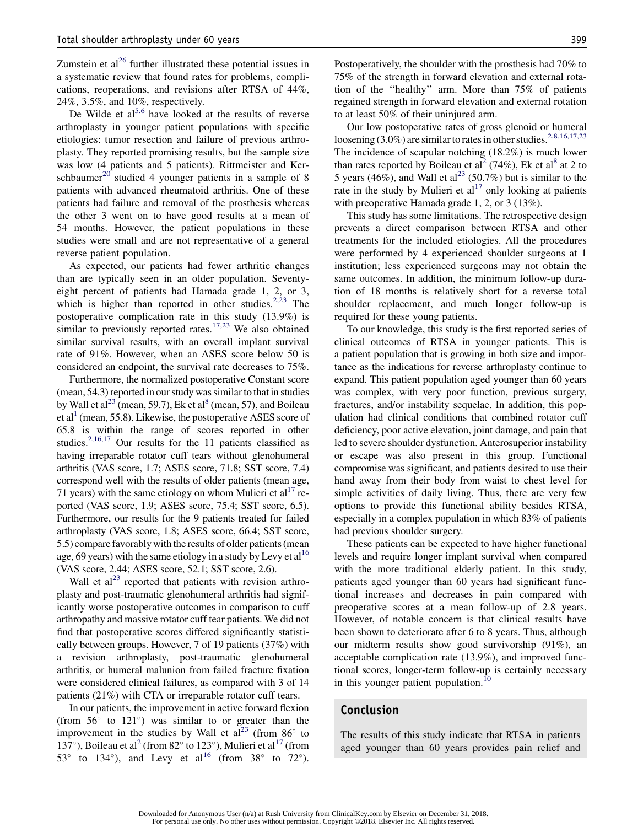Zumstein et  $al^{26}$  further illustrated these potential issues in a systematic review that found rates for problems, complications, reoperations, and revisions after RTSA of 44%, 24%, 3.5%, and 10%, respectively.

De Wilde et  $al^{5,6}$  have looked at the results of reverse arthroplasty in younger patient populations with specific etiologies: tumor resection and failure of previous arthroplasty. They reported promising results, but the sample size was low (4 patients and 5 patients). Rittmeister and Kerschbaumer<sup>20</sup> studied 4 younger patients in a sample of 8 patients with advanced rheumatoid arthritis. One of these patients had failure and removal of the prosthesis whereas the other 3 went on to have good results at a mean of 54 months. However, the patient populations in these studies were small and are not representative of a general reverse patient population.

As expected, our patients had fewer arthritic changes than are typically seen in an older population. Seventyeight percent of patients had Hamada grade 1, 2, or 3, which is higher than reported in other studies. $2.23$  The postoperative complication rate in this study (13.9%) is similar to previously reported rates.<sup>17,23</sup> We also obtained similar survival results, with an overall implant survival rate of 91%. However, when an ASES score below 50 is considered an endpoint, the survival rate decreases to 75%.

Furthermore, the normalized postoperative Constant score (mean, 54.3) reported in our study was similar to that in studies by Wall et  $al^{23}$  (mean, 59.7), Ek et al<sup>8</sup> (mean, 57), and Boileau et al<sup>1</sup> (mean, 55.8). Likewise, the postoperative ASES score of 65.8 is within the range of scores reported in other studies.<sup>2,16,17</sup> Our results for the 11 patients classified as having irreparable rotator cuff tears without glenohumeral arthritis (VAS score, 1.7; ASES score, 71.8; SST score, 7.4) correspond well with the results of older patients (mean age, 71 years) with the same etiology on whom Mulieri et  $al<sup>17</sup>$  reported (VAS score, 1.9; ASES score, 75.4; SST score, 6.5). Furthermore, our results for the 9 patients treated for failed arthroplasty (VAS score, 1.8; ASES score, 66.4; SST score, 5.5) compare favorably with the results of older patients (mean age, 69 years) with the same etiology in a study by Levy et al<sup>16</sup> (VAS score, 2.44; ASES score, 52.1; SST score, 2.6).

Wall et  $al^{23}$  reported that patients with revision arthroplasty and post-traumatic glenohumeral arthritis had significantly worse postoperative outcomes in comparison to cuff arthropathy and massive rotator cuff tear patients. We did not find that postoperative scores differed significantly statistically between groups. However, 7 of 19 patients (37%) with a revision arthroplasty, post-traumatic glenohumeral arthritis, or humeral malunion from failed fracture fixation were considered clinical failures, as compared with 3 of 14 patients (21%) with CTA or irreparable rotator cuff tears.

In our patients, the improvement in active forward flexion (from  $56^{\circ}$  to  $121^{\circ}$ ) was similar to or greater than the improvement in the studies by Wall et  $aI^{23}$  (from 86 $^{\circ}$  to 137°), Boileau et al<sup>2</sup> (from 82° to 123°), Mulieri et al<sup>17</sup> (from 53 $^{\circ}$  to 134 $^{\circ}$ ), and Levy et al<sup>16</sup> (from 38 $^{\circ}$  to 72 $^{\circ}$ ).

Postoperatively, the shoulder with the prosthesis had 70% to 75% of the strength in forward elevation and external rotation of the ''healthy'' arm. More than 75% of patients regained strength in forward elevation and external rotation to at least 50% of their uninjured arm.

Our low postoperative rates of gross glenoid or humeral loosening  $(3.0\%)$  are similar to rates in other studies.<sup>2,8,16,17,23</sup> The incidence of scapular notching (18.2%) is much lower than rates reported by Boileau et al<sup>2</sup> (74%), Ek et al<sup>8</sup> at 2 to 5 years (46%), and Wall et al<sup>23</sup> (50.7%) but is similar to the rate in the study by Mulieri et  $al<sup>17</sup>$  only looking at patients with preoperative Hamada grade 1, 2, or 3 (13%).

This study has some limitations. The retrospective design prevents a direct comparison between RTSA and other treatments for the included etiologies. All the procedures were performed by 4 experienced shoulder surgeons at 1 institution; less experienced surgeons may not obtain the same outcomes. In addition, the minimum follow-up duration of 18 months is relatively short for a reverse total shoulder replacement, and much longer follow-up is required for these young patients.

To our knowledge, this study is the first reported series of clinical outcomes of RTSA in younger patients. This is a patient population that is growing in both size and importance as the indications for reverse arthroplasty continue to expand. This patient population aged younger than 60 years was complex, with very poor function, previous surgery, fractures, and/or instability sequelae. In addition, this population had clinical conditions that combined rotator cuff deficiency, poor active elevation, joint damage, and pain that led to severe shoulder dysfunction. Anterosuperior instability or escape was also present in this group. Functional compromise was significant, and patients desired to use their hand away from their body from waist to chest level for simple activities of daily living. Thus, there are very few options to provide this functional ability besides RTSA, especially in a complex population in which 83% of patients had previous shoulder surgery.

These patients can be expected to have higher functional levels and require longer implant survival when compared with the more traditional elderly patient. In this study, patients aged younger than 60 years had significant functional increases and decreases in pain compared with preoperative scores at a mean follow-up of 2.8 years. However, of notable concern is that clinical results have been shown to deteriorate after 6 to 8 years. Thus, although our midterm results show good survivorship (91%), an acceptable complication rate (13.9%), and improved functional scores, longer-term follow-up is certainly necessary in this younger patient population.<sup>10</sup>

## Conclusion

The results of this study indicate that RTSA in patients aged younger than 60 years provides pain relief and